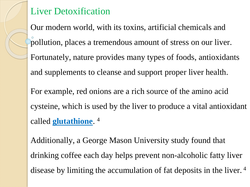## Liver Detoxification

Our modern world, with its toxins, artificial chemicals and pollution, places a tremendous amount of stress on our liver. Fortunately, nature provides many types of foods, antioxidants and supplements to cleanse and support proper liver health. For example, red onions are a rich source of the amino acid cysteine, which is used by the liver to produce a vital antioxidant called **glutathione**. 4

Additionally, a George Mason University study found that drinking coffee each day helps prevent non-alcoholic fatty liver disease by limiting the accumulation of fat deposits in the liver.<sup>4</sup>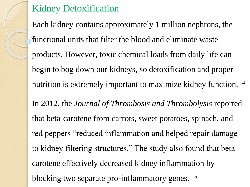## Kidney Detoxification

Each kidney contains approximately 1 million nephrons, the functional units that filter the blood and eliminate waste products. However, toxic chemical loads from daily life can begin to bog down our kidneys, so detoxification and proper nutrition is extremely important to maximize kidney function. <sup>14</sup> In 2012, the *Journal of Thrombosis and Thrombolysis* reported that beta-carotene from carrots, sweet potatoes, spinach, and red peppers "reduced inflammation and helped repair damage to kidney filtering structures." The study also found that betacarotene effectively decreased kidney inflammation by

blocking two separate pro-inflammatory genes. <sup>15</sup>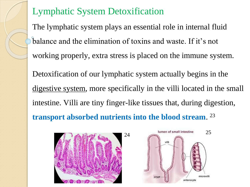## Lymphatic System Detoxification

The lymphatic system plays an essential role in internal fluid balance and the elimination of toxins and waste. If it's not working properly, extra stress is placed on the immune system. Detoxification of our lymphatic system actually begins in the digestive system, more specifically in the villi located in the small intestine. Villi are tiny finger-like tissues that, during digestion, **transport absorbed nutrients into the blood stream**. 23